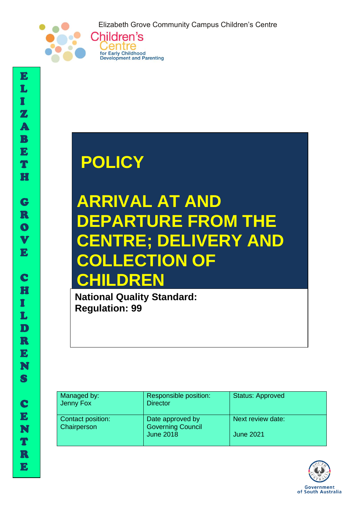Elizabeth Grove Community Campus Children's Centre



# **POLICY**

Centre for Early Childhood **Development and Parenting** 

## **ARRIVAL AT AND DEPARTURE FROM THE RE; DELIVERY AND ECTION OF CHILDREN**

**National Quality Standard: Regulation: 99**

| Managed by:<br>Jenny Fox                       | Responsible position:<br><b>Director</b>     | <b>Status: Approved</b> |
|------------------------------------------------|----------------------------------------------|-------------------------|
| <b>Contact position:</b><br><b>Chairperson</b> | Date approved by<br><b>Governing Council</b> | Next review date:       |
|                                                | <b>June 2018</b>                             | <b>June 2021</b>        |



I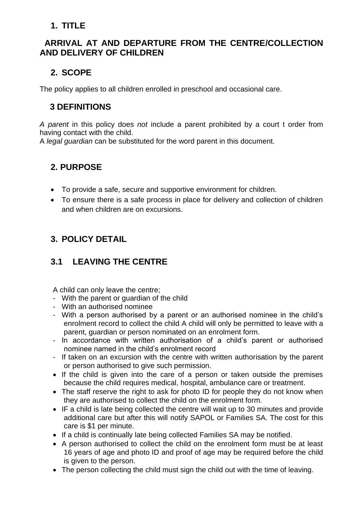#### **1. TITLE**

#### **ARRIVAL AT AND DEPARTURE FROM THE CENTRE/COLLECTION AND DELIVERY OF CHILDREN**

### **2. SCOPE**

The policy applies to all children enrolled in preschool and occasional care.

#### **3 DEFINITIONS**

*A parent* in this policy does *not* include a parent prohibited by a court t order from having contact with the child.

A *legal guardian* can be substituted for the word parent in this document.

#### **2. PURPOSE**

- To provide a safe, secure and supportive environment for children.
- To ensure there is a safe process in place for delivery and collection of children and when children are on excursions.

## **3. POLICY DETAIL**

### **3.1 LEAVING THE CENTRE**

A child can only leave the centre;

- With the parent or guardian of the child
- With an authorised nominee
- With a person authorised by a parent or an authorised nominee in the child's enrolment record to collect the child A child will only be permitted to leave with a parent, guardian or person nominated on an enrolment form.
- In accordance with written authorisation of a child's parent or authorised nominee named in the child's enrolment record
- If taken on an excursion with the centre with written authorisation by the parent or person authorised to give such permission.
- If the child is given into the care of a person or taken outside the premises because the child requires medical, hospital, ambulance care or treatment.
- The staff reserve the right to ask for photo ID for people they do not know when they are authorised to collect the child on the enrolment form.
- IF a child is late being collected the centre will wait up to 30 minutes and provide additional care but after this will notify SAPOL or Families SA. The cost for this care is \$1 per minute.
- If a child is continually late being collected Families SA may be notified.
- A person authorised to collect the child on the enrolment form must be at least 16 years of age and photo ID and proof of age may be required before the child is given to the person.
- The person collecting the child must sign the child out with the time of leaving.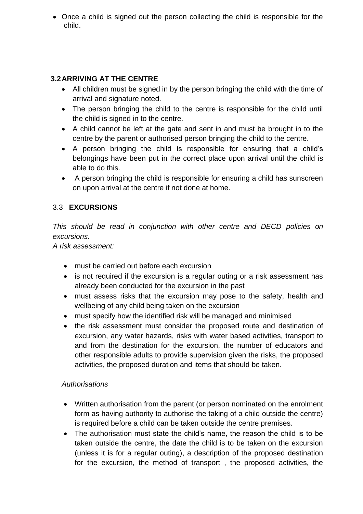• Once a child is signed out the person collecting the child is responsible for the child.

#### **3.2ARRIVING AT THE CENTRE**

- All children must be signed in by the person bringing the child with the time of arrival and signature noted.
- The person bringing the child to the centre is responsible for the child until the child is signed in to the centre.
- A child cannot be left at the gate and sent in and must be brought in to the centre by the parent or authorised person bringing the child to the centre.
- A person bringing the child is responsible for ensuring that a child's belongings have been put in the correct place upon arrival until the child is able to do this.
- A person bringing the child is responsible for ensuring a child has sunscreen on upon arrival at the centre if not done at home.

#### 3.3 **EXCURSIONS**

*This should be read in conjunction with other centre and DECD policies on excursions.* 

*A risk assessment:* 

- must be carried out before each excursion
- is not required if the excursion is a regular outing or a risk assessment has already been conducted for the excursion in the past
- must assess risks that the excursion may pose to the safety, health and wellbeing of any child being taken on the excursion
- must specify how the identified risk will be managed and minimised
- the risk assessment must consider the proposed route and destination of excursion, any water hazards, risks with water based activities, transport to and from the destination for the excursion, the number of educators and other responsible adults to provide supervision given the risks, the proposed activities, the proposed duration and items that should be taken.

#### *Authorisations*

- Written authorisation from the parent (or person nominated on the enrolment form as having authority to authorise the taking of a child outside the centre) is required before a child can be taken outside the centre premises.
- The authorisation must state the child's name, the reason the child is to be taken outside the centre, the date the child is to be taken on the excursion (unless it is for a regular outing), a description of the proposed destination for the excursion, the method of transport , the proposed activities, the